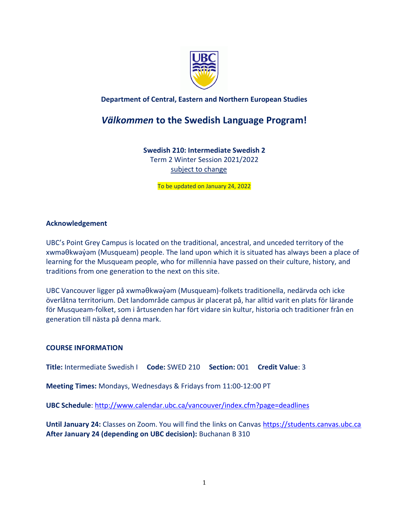

# **Department of Central, Eastern and Northern European Studies**

# *Välkommen* **to the Swedish Language Program!**

# **Swedish 210: Intermediate Swedish 2**

Term 2 Winter Session 2021/2022 subject to change

To be updated on January 24, 2022

#### **Acknowledgement**

UBC's Point Grey Campus is located on the traditional, ancestral, and unceded territory of the xwməθkwəýəm (Musqueam) people. The land upon which it is situated has always been a place of learning for the Musqueam people, who for millennia have passed on their culture, history, and traditions from one generation to the next on this site.

UBC Vancouver ligger på xwməθkwəy̓əm (Musqueam)-folkets traditionella, nedärvda och icke överlåtna territorium. Det landområde campus är placerat på, har alltid varit en plats för lärande för Musqueam-folket, som i årtusenden har fört vidare sin kultur, historia och traditioner från en generation till nästa på denna mark.

#### **COURSE INFORMATION**

**Title:** Intermediate Swedish I **Code:** SWED 210 **Section:** 001 **Credit Value**: 3

**Meeting Times:** Mondays, Wednesdays & Fridays from 11:00-12:00 PT

**UBC Schedule**:<http://www.calendar.ubc.ca/vancouver/index.cfm?page=deadlines>

Until January 24: Classes on Zoom. You will find the links on Canvas [https://students.canvas.ubc.ca](https://students.canvas.ubc.ca/) **After January 24 (depending on UBC decision):** Buchanan B 310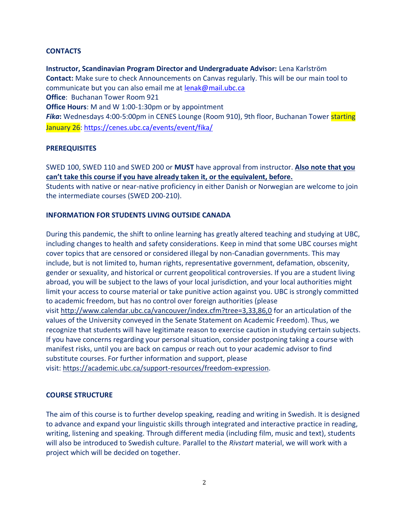#### **CONTACTS**

**Instructor, Scandinavian Program Director and Undergraduate Advisor:** Lena Karlström **Contact:** Make sure to check Announcements on Canvas regularly. This will be our main tool to communicate but you can also email me at [lenak@mail.ubc.ca](mailto:lenak@mail.ubc.ca) **Office**: Buchanan Tower Room 921 **Office Hours**: M and W 1:00-1:30pm or by appointment **Fika:** Wednesdays 4:00-5:00pm in CENES Lounge (Room 910), 9th floor, Buchanan Tower starting January 26:<https://cenes.ubc.ca/events/event/fika/>

#### **PREREQUISITES**

SWED 100, SWED 110 and SWED 200 or **MUST** have approval from instructor. **Also note that you can't take this course if you have already taken it, or the equivalent, before.**

Students with native or near-native proficiency in either Danish or Norwegian are welcome to join the intermediate courses (SWED 200-210).

#### **INFORMATION FOR STUDENTS LIVING OUTSIDE CANADA**

During this pandemic, the shift to online learning has greatly altered teaching and studying at UBC, including changes to health and safety considerations. Keep in mind that some UBC courses might cover topics that are censored or considered illegal by non-Canadian governments. This may include, but is not limited to, human rights, representative government, defamation, obscenity, gender or sexuality, and historical or current geopolitical controversies. If you are a student living abroad, you will be subject to the laws of your local jurisdiction, and your local authorities might limit your access to course material or take punitive action against you. UBC is strongly committed to academic freedom, but has no control over foreign authorities (please visit <http://www.calendar.ubc.ca/vancouver/index.cfm?tree=3,33,86,0> for an articulation of the values of the University conveyed in the Senate Statement on Academic Freedom). Thus, we recognize that students will have legitimate reason to exercise caution in studying certain subjects. If you have concerns regarding your personal situation, consider postponing taking a course with manifest risks, until you are back on campus or reach out to your academic advisor to find substitute courses. For further information and support, please visit: [https://academic.ubc.ca/support-resources/freedom-expression.](https://academic.ubc.ca/support-resources/freedom-expression)

#### **COURSE STRUCTURE**

The aim of this course is to further develop speaking, reading and writing in Swedish. It is designed to advance and expand your linguistic skills through integrated and interactive practice in reading, writing, listening and speaking. Through different media (including film, music and text), students will also be introduced to Swedish culture. Parallel to the *Rivstart* material, we will work with a project which will be decided on together.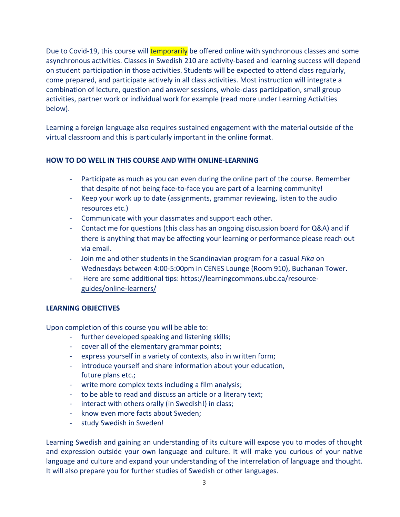Due to Covid-19, this course will **temporarily** be offered online with synchronous classes and some asynchronous activities. Classes in Swedish 210 are activity-based and learning success will depend on student participation in those activities. Students will be expected to attend class regularly, come prepared, and participate actively in all class activities. Most instruction will integrate a combination of lecture, question and answer sessions, whole-class participation, small group activities, partner work or individual work for example (read more under Learning Activities below).

Learning a foreign language also requires sustained engagement with the material outside of the virtual classroom and this is particularly important in the online format.

# **HOW TO DO WELL IN THIS COURSE AND WITH ONLINE-LEARNING**

- Participate as much as you can even during the online part of the course. Remember that despite of not being face-to-face you are part of a learning community!
- Keep your work up to date (assignments, grammar reviewing, listen to the audio resources etc.)
- Communicate with your classmates and support each other.
- Contact me for questions (this class has an ongoing discussion board for Q&A) and if there is anything that may be affecting your learning or performance please reach out via email.
- Join me and other students in the Scandinavian program for a casual *Fika* on Wednesdays between 4:00-5:00pm in CENES Lounge (Room 910), Buchanan Tower.
- Here are some additional tips: [https://learningcommons.ubc.ca/resource](https://learningcommons.ubc.ca/resource-guides/online-learners/)[guides/online-learners/](https://learningcommons.ubc.ca/resource-guides/online-learners/)

#### **LEARNING OBJECTIVES**

Upon completion of this course you will be able to:

- further developed speaking and listening skills;
- cover all of the elementary grammar points;
- express yourself in a variety of contexts, also in written form;
- introduce yourself and share information about your education, future plans etc.;
- write more complex texts including a film analysis;
- to be able to read and discuss an article or a literary text;
- interact with others orally (in Swedish!) in class;
- know even more facts about Sweden;
- study Swedish in Sweden!

Learning Swedish and gaining an understanding of its culture will expose you to modes of thought and expression outside your own language and culture. It will make you curious of your native language and culture and expand your understanding of the interrelation of language and thought. It will also prepare you for further studies of Swedish or other languages.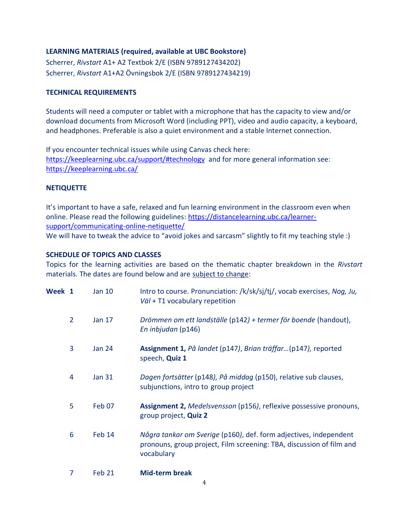# **LEARNING MATERIALS (required, available at UBC Bookstore)**

Scherrer, *Rivstart* A1+ A2 Textbok 2/E (ISBN 9789127434202) Scherrer, *Rivstart* A1+A2 Övningsbok 2/E (ISBN 9789127434219)

#### **TECHNICAL REQUIREMENTS**

Students will need a computer or tablet with a microphone that has the capacity to view and/or download documents from Microsoft Word (including PPT), video and audio capacity, a keyboard, and headphones. Preferable is also a quiet environment and a stable Internet connection.

If you encounter technical issues while using Canvas check here: <https://keeplearning.ubc.ca/support/#technology> and for more general information see: <https://keeplearning.ubc.ca/>

#### **NETIQUETTE**

It's important to have a safe, relaxed and fun learning environment in the classroom even when online. Please read the following guidelines: [https://distancelearning.ubc.ca/learner](https://distancelearning.ubc.ca/learner-support/communicating-online-netiquette/)[support/communicating-online-netiquette/](https://distancelearning.ubc.ca/learner-support/communicating-online-netiquette/) 

We will have to tweak the advice to "avoid jokes and sarcasm" slightly to fit my teaching style :)

#### **SCHEDULE OF TOPICS AND CLASSES**

Topics for the learning activities are based on the thematic chapter breakdown in the *Rivstart*  materials. The dates are found below and are subject to change:

| Week 1 |                | <b>Jan 10</b>     | Intro to course. Pronunciation: /k/sk/sj/tj/, vocab exercises, Nog, Ju,<br>Väl + T1 vocabulary repetition                                               |
|--------|----------------|-------------------|---------------------------------------------------------------------------------------------------------------------------------------------------------|
|        | $\overline{2}$ | Jan 17            | Drömmen om ett landställe (p142) + termer för boende (handout),<br>En inbjudan (p146)                                                                   |
|        | 3              | <b>Jan 24</b>     | Assignment 1, På landet (p147), Brian träffar(p147), reported<br>speech, Quiz 1                                                                         |
|        | 4              | <b>Jan 31</b>     | Dagen fortsätter (p148), På middag (p150), relative sub clauses,<br>subjunctions, intro to group project                                                |
|        | 5              | Feb 07            | <b>Assignment 2, Medelsvensson (p156), reflexive possessive pronouns,</b><br>group project, Quiz 2                                                      |
|        | 6              | Feb 14            | Några tankar om Sverige (p160), def. form adjectives, independent<br>pronouns, group project, Film screening: TBA, discussion of film and<br>vocabulary |
|        | 7              | Feb <sub>21</sub> | <b>Mid-term break</b>                                                                                                                                   |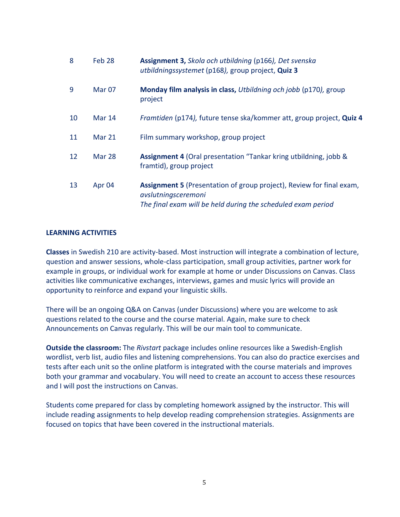| 8  | Feb <sub>28</sub> | Assignment 3, Skola och utbildning (p166), Det svenska<br>utbildningssystemet (p168), group project, Quiz 3                                                 |
|----|-------------------|-------------------------------------------------------------------------------------------------------------------------------------------------------------|
| 9  | Mar <sub>07</sub> | Monday film analysis in class, Utbildning och jobb (p170), group<br>project                                                                                 |
| 10 | <b>Mar 14</b>     | Framtiden (p174), future tense ska/kommer att, group project, Quiz 4                                                                                        |
| 11 | Mar 21            | Film summary workshop, group project                                                                                                                        |
| 12 | Mar 28            | <b>Assignment 4 (Oral presentation "Tankar kring utbildning, jobb &amp;</b><br>framtid), group project                                                      |
| 13 | Apr 04            | Assignment 5 (Presentation of group project), Review for final exam,<br>avslutningsceremoni<br>The final exam will be held during the scheduled exam period |

#### **LEARNING ACTIVITIES**

**Classes** in Swedish 210 are activity-based. Most instruction will integrate a combination of lecture, question and answer sessions, whole-class participation, small group activities, partner work for example in groups, or individual work for example at home or under Discussions on Canvas. Class activities like communicative exchanges, interviews, games and music lyrics will provide an opportunity to reinforce and expand your linguistic skills.

There will be an ongoing Q&A on Canvas (under Discussions) where you are welcome to ask questions related to the course and the course material. Again, make sure to check Announcements on Canvas regularly. This will be our main tool to communicate.

**Outside the classroom:** The *Rivstart* package includes online resources like a Swedish-English wordlist, verb list, audio files and listening comprehensions. You can also do practice exercises and tests after each unit so the online platform is integrated with the course materials and improves both your grammar and vocabulary. You will need to create an account to access these resources and I will post the instructions on Canvas.

Students come prepared for class by completing homework assigned by the instructor. This will include reading assignments to help develop reading comprehension strategies. Assignments are focused on topics that have been covered in the instructional materials.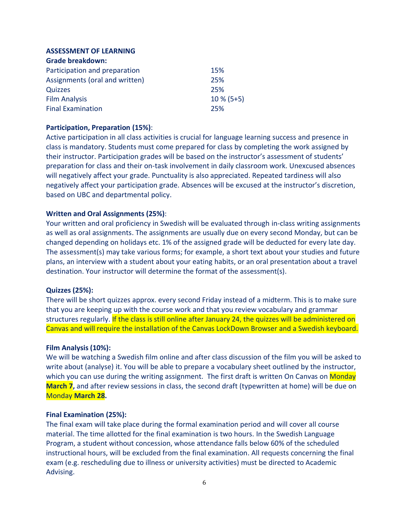# **ASSESSMENT OF LEARNING**

| <b>Grade breakdown:</b>        |              |
|--------------------------------|--------------|
| Participation and preparation  | 15%          |
| Assignments (oral and written) | 25%          |
| Quizzes                        | 25%          |
| <b>Film Analysis</b>           | $10\%$ (5+5) |
| <b>Final Examination</b>       | 25%          |

# **Participation, Preparation (15%)**:

Active participation in all class activities is crucial for language learning success and presence in class is mandatory. Students must come prepared for class by completing the work assigned by their instructor. Participation grades will be based on the instructor's assessment of students' preparation for class and their on-task involvement in daily classroom work. Unexcused absences will negatively affect your grade. Punctuality is also appreciated. Repeated tardiness will also negatively affect your participation grade. Absences will be excused at the instructor's discretion, based on UBC and departmental policy.

#### **Written and Oral Assignments (25%)**:

Your written and oral proficiency in Swedish will be evaluated through in-class writing assignments as well as oral assignments. The assignments are usually due on every second Monday, but can be changed depending on holidays etc. 1% of the assigned grade will be deducted for every late day. The assessment(s) may take various forms; for example, a short text about your studies and future plans, an interview with a student about your eating habits, or an oral presentation about a travel destination. Your instructor will determine the format of the assessment(s).

#### **Quizzes (25%):**

There will be short quizzes approx. every second Friday instead of a midterm. This is to make sure that you are keeping up with the course work and that you review vocabulary and grammar structures regularly. If the class is still online after January 24, the quizzes will be administered on Canvas and will require the installation of the Canvas LockDown Browser and a Swedish keyboard.

#### **Film Analysis (10%):**

We will be watching a Swedish film online and after class discussion of the film you will be asked to write about (analyse) it. You will be able to prepare a vocabulary sheet outlined by the instructor, which you can use during the writing assignment. The first draft is written On Canvas on Monday **March 7**, and after review sessions in class, the second draft (typewritten at home) will be due on Monday **March 28.**

#### **Final Examination (25%):**

The final exam will take place during the formal examination period and will cover all course material. The time allotted for the final examination is two hours. In the Swedish Language Program, a student without concession, whose attendance falls below 60% of the scheduled instructional hours, will be excluded from the final examination. All requests concerning the final exam (e.g. rescheduling due to illness or university activities) must be directed to Academic Advising.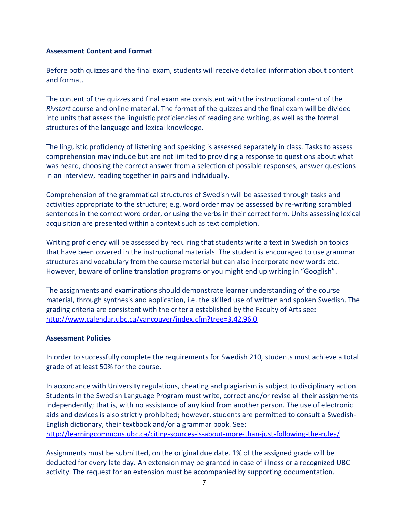#### **Assessment Content and Format**

Before both quizzes and the final exam, students will receive detailed information about content and format.

The content of the quizzes and final exam are consistent with the instructional content of the *Rivstart* course and online material. The format of the quizzes and the final exam will be divided into units that assess the linguistic proficiencies of reading and writing, as well as the formal structures of the language and lexical knowledge.

The linguistic proficiency of listening and speaking is assessed separately in class. Tasks to assess comprehension may include but are not limited to providing a response to questions about what was heard, choosing the correct answer from a selection of possible responses, answer questions in an interview, reading together in pairs and individually.

Comprehension of the grammatical structures of Swedish will be assessed through tasks and activities appropriate to the structure; e.g. word order may be assessed by re-writing scrambled sentences in the correct word order, or using the verbs in their correct form. Units assessing lexical acquisition are presented within a context such as text completion.

Writing proficiency will be assessed by requiring that students write a text in Swedish on topics that have been covered in the instructional materials. The student is encouraged to use grammar structures and vocabulary from the course material but can also incorporate new words etc. However, beware of online translation programs or you might end up writing in "Googlish".

The assignments and examinations should demonstrate learner understanding of the course material, through synthesis and application, i.e. the skilled use of written and spoken Swedish. The grading criteria are consistent with the criteria established by the Faculty of Arts see: <http://www.calendar.ubc.ca/vancouver/index.cfm?tree=3,42,96,0>

#### **Assessment Policies**

In order to successfully complete the requirements for Swedish 210, students must achieve a total grade of at least 50% for the course.

In accordance with University regulations, cheating and plagiarism is subject to disciplinary action. Students in the Swedish Language Program must write, correct and/or revise all their assignments independently; that is, with no assistance of any kind from another person. The use of electronic aids and devices is also strictly prohibited; however, students are permitted to consult a Swedish-English dictionary, their textbook and/or a grammar book. See: <http://learningcommons.ubc.ca/citing-sources-is-about-more-than-just-following-the-rules/>

Assignments must be submitted, on the original due date. 1% of the assigned grade will be deducted for every late day. An extension may be granted in case of illness or a recognized UBC activity. The request for an extension must be accompanied by supporting documentation.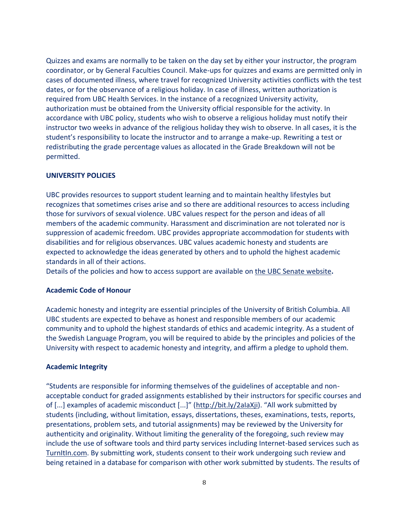Quizzes and exams are normally to be taken on the day set by either your instructor, the program coordinator, or by General Faculties Council. Make-ups for quizzes and exams are permitted only in cases of documented illness, where travel for recognized University activities conflicts with the test dates, or for the observance of a religious holiday. In case of illness, written authorization is required from UBC Health Services. In the instance of a recognized University activity, authorization must be obtained from the University official responsible for the activity. In accordance with UBC policy, students who wish to observe a religious holiday must notify their instructor two weeks in advance of the religious holiday they wish to observe. In all cases, it is the student's responsibility to locate the instructor and to arrange a make-up. Rewriting a test or redistributing the grade percentage values as allocated in the Grade Breakdown will not be permitted.

#### **UNIVERSITY POLICIES**

UBC provides resources to support student learning and to maintain healthy lifestyles but recognizes that sometimes crises arise and so there are additional resources to access including those for survivors of sexual violence. UBC values respect for the person and ideas of all members of the academic community. Harassment and discrimination are not tolerated nor is suppression of academic freedom. UBC provides appropriate accommodation for students with disabilities and for religious observances. UBC values academic honesty and students are expected to acknowledge the ideas generated by others and to uphold the highest academic standards in all of their actions.

Details of the policies and how to access support are available on [the UBC Senate website](https://senate.ubc.ca/policies-resources-support-student-success)**.**

#### **Academic Code of Honour**

Academic honesty and integrity are essential principles of the University of British Columbia. All UBC students are expected to behave as honest and responsible members of our academic community and to uphold the highest standards of ethics and academic integrity. As a student of the Swedish Language Program, you will be required to abide by the principles and policies of the University with respect to academic honesty and integrity, and affirm a pledge to uphold them.

#### **Academic Integrity**

"Students are responsible for informing themselves of the guidelines of acceptable and nonacceptable conduct for graded assignments established by their instructors for specific courses and of [...] examples of academic misconduct [...]" ([http://bit.ly/2aIaXji](https://www.mail.ubc.ca/owa/redir.aspx?C=SRWR6RgRKVNZU5VQ9f4tu8wdW5FUkyes6gxYhRYsRMyOenucdbDVCA..&URL=http%3a%2f%2fbit.ly%2f2aIaXji)). "All work submitted by students (including, without limitation, essays, dissertations, theses, examinations, tests, reports, presentations, problem sets, and tutorial assignments) may be reviewed by the University for authenticity and originality. Without limiting the generality of the foregoing, such review may include the use of software tools and third party services including Internet-based services such as [TurnItIn.com.](https://www.mail.ubc.ca/owa/redir.aspx?C=gbw3Ird0iF4Mg6AoKRthp4qXd1gXvXoGjXMFp8fY7EiOenucdbDVCA..&URL=http%3a%2f%2fTurnItIn.com) By submitting work, students consent to their work undergoing such review and being retained in a database for comparison with other work submitted by students. The results of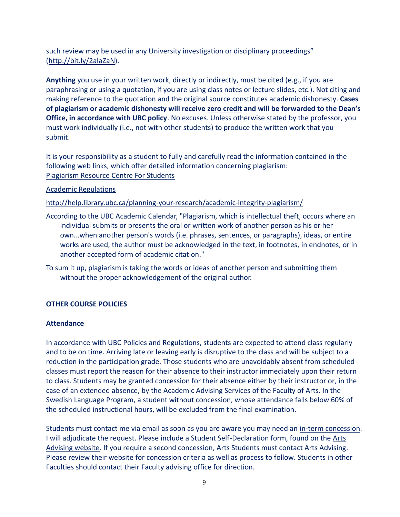such review may be used in any University investigation or disciplinary proceedings" [\(http://bit.ly/2aIaZaN\)](https://www.mail.ubc.ca/owa/redir.aspx?C=I_jhjRRKoLeTwYaR4_vR8yLqbRu9cxdzRTynECE-yfaOenucdbDVCA..&URL=http%3a%2f%2fbit.ly%2f2aIaZaN).

**Anything** you use in your written work, directly or indirectly, must be cited (e.g., if you are paraphrasing or using a quotation, if you are using class notes or lecture slides, etc.). Not citing and making reference to the quotation and the original source constitutes academic dishonesty. **Cases of plagiarism or academic dishonesty will receive zero credit and will be forwarded to the Dean's Office, in accordance with UBC policy**. No excuses. Unless otherwise stated by the professor, you must work individually (i.e., not with other students) to produce the written work that you submit.

It is your responsibility as a student to fully and carefully read the information contained in the following web links, which offer detailed information concerning plagiarism: [Plagiarism Resource Centre For Students](http://www.library.ubc.ca/home/plagiarism/#_blank)

# [Academic Regulations](http://www.students.ubc.ca/calendar/index.cfm?tree=3,54,111,959#_blank)

<http://help.library.ubc.ca/planning-your-research/academic-integrity-plagiarism/>

According to the UBC Academic Calendar, "Plagiarism, which is intellectual theft, occurs where an individual submits or presents the oral or written work of another person as his or her own...when another person's words (i.e. phrases, sentences, or paragraphs), ideas, or entire works are used, the author must be acknowledged in the text, in footnotes, in endnotes, or in another accepted form of academic citation."

To sum it up, plagiarism is taking the words or ideas of another person and submitting them without the proper acknowledgement of the original author.

# **OTHER COURSE POLICIES**

#### **Attendance**

In accordance with UBC Policies and Regulations, students are expected to attend class regularly and to be on time. Arriving late or leaving early is disruptive to the class and will be subject to a reduction in the participation grade. Those students who are unavoidably absent from scheduled classes must report the reason for their absence to their instructor immediately upon their return to class. Students may be granted concession for their absence either by their instructor or, in the case of an extended absence, by the Academic Advising Services of the Faculty of Arts. In the Swedish Language Program, a student without concession, whose attendance falls below 60% of the scheduled instructional hours, will be excluded from the final examination.

Students must contact me via email as soon as you are aware you may need an [in-term concession.](https://www.mail.ubc.ca/owa/redir.aspx?C=XA_Si1tbGcTX0wbcIagUJXXxrsAv60cOBoSj4Wq_9t-iP6B98jDXCA..&URL=http%3a%2f%2fwww.calendar.ubc.ca%2fvancouver%2findex.cfm%3ftree%3d3%2c329%2c0%2c0%2326592) I will adjudicate the request. Please include a Student Self-Declaration form, found on the [Arts](https://www.mail.ubc.ca/owa/redir.aspx?C=s0lJR-ns8OwKvgyVfw68SLkGDjwqdVd2CZb4KlKhdx2iP6B98jDXCA..&URL=https%3a%2f%2fstudents.arts.ubc.ca%2fadvising%2facademic-performance%2fhelp-academic-concession%2f)  [Advising website.](https://www.mail.ubc.ca/owa/redir.aspx?C=s0lJR-ns8OwKvgyVfw68SLkGDjwqdVd2CZb4KlKhdx2iP6B98jDXCA..&URL=https%3a%2f%2fstudents.arts.ubc.ca%2fadvising%2facademic-performance%2fhelp-academic-concession%2f) If you require a second concession, Arts Students must contact Arts Advising. Please review [their website](https://www.mail.ubc.ca/owa/redir.aspx?C=s0lJR-ns8OwKvgyVfw68SLkGDjwqdVd2CZb4KlKhdx2iP6B98jDXCA..&URL=https%3a%2f%2fstudents.arts.ubc.ca%2fadvising%2facademic-performance%2fhelp-academic-concession%2f) for concession criteria as well as process to follow. Students in other Faculties should contact their Faculty advising office for direction.